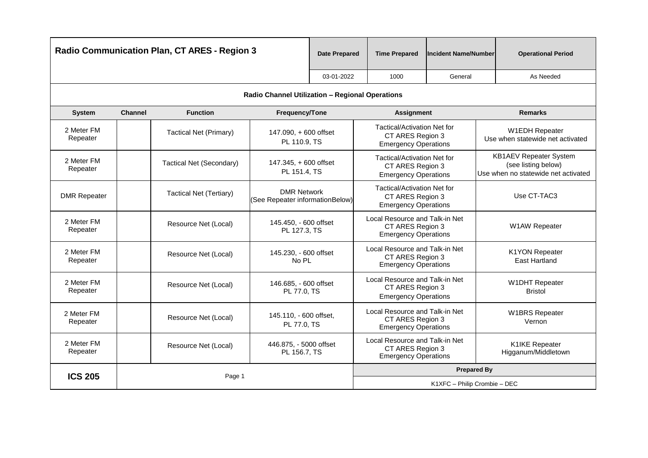|                        | <b>Radio Communication Plan, CT ARES - Region 3</b>            |                               | <b>Date Prepared</b>                                  | <b>Time Prepared</b>                                                              | <b>Incident Name/Number</b>                                                           |                              | <b>Operational Period</b>                                                                   |                                         |
|------------------------|----------------------------------------------------------------|-------------------------------|-------------------------------------------------------|-----------------------------------------------------------------------------------|---------------------------------------------------------------------------------------|------------------------------|---------------------------------------------------------------------------------------------|-----------------------------------------|
|                        |                                                                |                               |                                                       | 03-01-2022                                                                        | 1000                                                                                  | General                      |                                                                                             | As Needed                               |
|                        |                                                                |                               | Radio Channel Utilization - Regional Operations       |                                                                                   |                                                                                       |                              |                                                                                             |                                         |
| <b>System</b>          | <b>Channel</b>                                                 | <b>Function</b>               | Frequency/Tone                                        |                                                                                   | <b>Assignment</b>                                                                     |                              |                                                                                             | <b>Remarks</b>                          |
| 2 Meter FM<br>Repeater |                                                                | <b>Tactical Net (Primary)</b> | 147.090, +600 offset<br>PL 110.9, TS                  |                                                                                   | <b>Tactical/Activation Net for</b><br>CT ARES Region 3<br><b>Emergency Operations</b> |                              | <b>W1EDH Repeater</b><br>Use when statewide net activated                                   |                                         |
| 2 Meter FM<br>Repeater |                                                                | Tactical Net (Secondary)      | 147.345, + 600 offset<br>PL 151.4, TS                 |                                                                                   | Tactical/Activation Net for<br>CT ARES Region 3<br><b>Emergency Operations</b>        |                              | <b>KB1AEV Repeater System</b><br>(see listing below)<br>Use when no statewide net activated |                                         |
| <b>DMR Repeater</b>    |                                                                | Tactical Net (Tertiary)       | <b>DMR Network</b><br>(See Repeater informationBelow) |                                                                                   | Tactical/Activation Net for<br>CT ARES Region 3<br><b>Emergency Operations</b>        |                              |                                                                                             | Use CT-TAC3                             |
| 2 Meter FM<br>Repeater |                                                                | Resource Net (Local)          | 145.450, - 600 offset<br>PL 127.3, TS                 |                                                                                   | Local Resource and Talk-in Net<br>CT ARES Region 3<br><b>Emergency Operations</b>     |                              |                                                                                             | W1AW Repeater                           |
| 2 Meter FM<br>Repeater |                                                                | Resource Net (Local)          | 145.230, - 600 offset<br>No PL                        |                                                                                   | Local Resource and Talk-in Net<br>CT ARES Region 3<br><b>Emergency Operations</b>     |                              |                                                                                             | <b>K1YON Repeater</b><br>East Hartland  |
| 2 Meter FM<br>Repeater |                                                                | Resource Net (Local)          | 146.685, - 600 offset<br>PL 77.0, TS                  |                                                                                   | Local Resource and Talk-in Net<br>CT ARES Region 3<br><b>Emergency Operations</b>     |                              |                                                                                             | <b>W1DHT Repeater</b><br><b>Bristol</b> |
| 2 Meter FM<br>Repeater |                                                                | Resource Net (Local)          | 145.110, - 600 offset,<br>PL 77.0, TS                 |                                                                                   | Local Resource and Talk-in Net<br>CT ARES Region 3<br><b>Emergency Operations</b>     |                              |                                                                                             | <b>W1BRS Repeater</b><br>Vernon         |
| 2 Meter FM<br>Repeater | 446.875, - 5000 offset<br>Resource Net (Local)<br>PL 156.7, TS |                               |                                                       | Local Resource and Talk-in Net<br>CT ARES Region 3<br><b>Emergency Operations</b> |                                                                                       |                              | K1IKE Repeater<br>Higganum/Middletown                                                       |                                         |
| <b>ICS 205</b>         |                                                                | Page 1                        |                                                       |                                                                                   |                                                                                       | <b>Prepared By</b>           |                                                                                             |                                         |
|                        |                                                                |                               |                                                       |                                                                                   |                                                                                       | K1XFC - Philip Crombie - DEC |                                                                                             |                                         |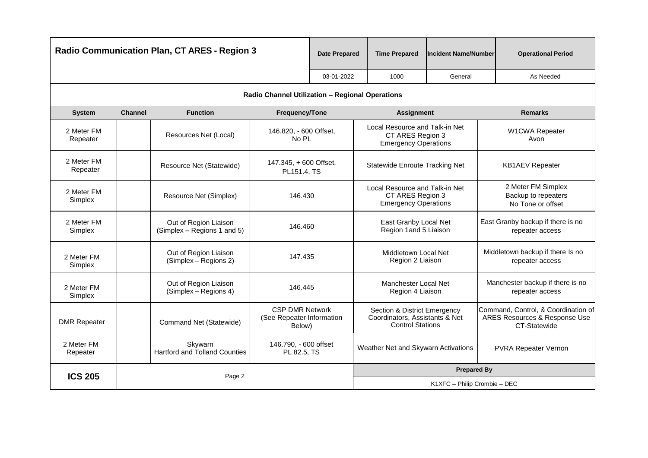|                        | <b>Radio Communication Plan, CT ARES - Region 3</b> |                                                      | <b>Date Prepared</b>                                          | <b>Time Prepared</b> | lIncident Name/Number                                                                     | <b>Operational Period</b>    |                                                                                      |  |
|------------------------|-----------------------------------------------------|------------------------------------------------------|---------------------------------------------------------------|----------------------|-------------------------------------------------------------------------------------------|------------------------------|--------------------------------------------------------------------------------------|--|
|                        |                                                     |                                                      |                                                               | 03-01-2022           | 1000                                                                                      | General                      | As Needed                                                                            |  |
|                        |                                                     |                                                      | Radio Channel Utilization - Regional Operations               |                      |                                                                                           |                              |                                                                                      |  |
| <b>System</b>          | <b>Channel</b>                                      | <b>Function</b>                                      | Frequency/Tone                                                |                      | <b>Assignment</b>                                                                         |                              | <b>Remarks</b>                                                                       |  |
| 2 Meter FM<br>Repeater |                                                     | Resources Net (Local)                                | 146.820, - 600 Offset,<br>No PL                               |                      | Local Resource and Talk-in Net<br>CT ARES Region 3<br><b>Emergency Operations</b>         |                              | W1CWA Repeater<br>Avon                                                               |  |
| 2 Meter FM<br>Repeater |                                                     | Resource Net (Statewide)                             | 147.345, +600 Offset,<br>PL151.4, TS                          |                      | <b>Statewide Enroute Tracking Net</b>                                                     |                              | <b>KB1AEV Repeater</b>                                                               |  |
| 2 Meter FM<br>Simplex  |                                                     | Resource Net (Simplex)                               | 146.430                                                       |                      | Local Resource and Talk-in Net<br>CT ARES Region 3<br><b>Emergency Operations</b>         |                              | 2 Meter FM Simplex<br>Backup to repeaters<br>No Tone or offset                       |  |
| 2 Meter FM<br>Simplex  |                                                     | Out of Region Liaison<br>(Simplex – Regions 1 and 5) | 146.460                                                       |                      | East Granby Local Net<br>Region 1 and 5 Liaison                                           |                              | East Granby backup if there is no<br>repeater access                                 |  |
| 2 Meter FM<br>Simplex  |                                                     | Out of Region Liaison<br>(Simplex - Regions 2)       | 147.435                                                       |                      | Middletown Local Net<br>Region 2 Liaison                                                  |                              | Middletown backup if there Is no<br>repeater access                                  |  |
| 2 Meter FM<br>Simplex  |                                                     | Out of Region Liaison<br>(Simplex - Regions 4)       | 146.445                                                       |                      | Manchester Local Net<br>Region 4 Liaison                                                  |                              | Manchester backup if there is no<br>repeater access                                  |  |
| <b>DMR Repeater</b>    |                                                     | Command Net (Statewide)                              | <b>CSP DMR Network</b><br>(See Repeater Information<br>Below) |                      | Section & District Emergency<br>Coordinators, Assistants & Net<br><b>Control Stations</b> |                              | Command, Control, & Coordination of<br>ARES Resources & Response Use<br>CT-Statewide |  |
| 2 Meter FM<br>Repeater |                                                     | Skywarn<br><b>Hartford and Tolland Counties</b>      | 146.790, - 600 offset<br>PL 82.5, TS                          |                      | Weather Net and Skywarn Activations                                                       |                              | PVRA Repeater Vernon                                                                 |  |
| <b>ICS 205</b>         |                                                     | Page 2                                               |                                                               |                      |                                                                                           | <b>Prepared By</b>           |                                                                                      |  |
|                        |                                                     |                                                      |                                                               |                      |                                                                                           | K1XFC - Philip Crombie - DEC |                                                                                      |  |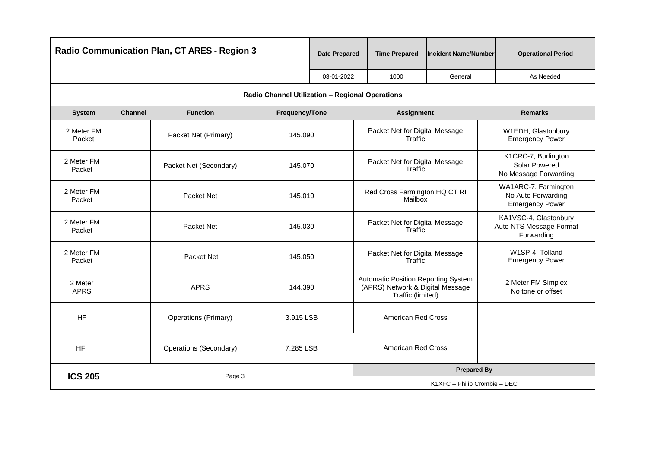|                        | <b>Radio Communication Plan, CT ARES - Region 3</b> |                             |                                                 | <b>Date Prepared</b> | <b>Time Prepared</b>                                                                         | <b>Incident Name/Number</b>  | <b>Operational Period</b>                                            |
|------------------------|-----------------------------------------------------|-----------------------------|-------------------------------------------------|----------------------|----------------------------------------------------------------------------------------------|------------------------------|----------------------------------------------------------------------|
|                        |                                                     |                             |                                                 | 03-01-2022           | 1000                                                                                         | General                      | As Needed                                                            |
|                        |                                                     |                             | Radio Channel Utilization - Regional Operations |                      |                                                                                              |                              |                                                                      |
| <b>System</b>          | <b>Channel</b>                                      | <b>Function</b>             | Frequency/Tone                                  |                      | <b>Assignment</b>                                                                            |                              | <b>Remarks</b>                                                       |
| 2 Meter FM<br>Packet   |                                                     | Packet Net (Primary)        | 145.090                                         |                      | Packet Net for Digital Message<br>Traffic                                                    |                              | W1EDH, Glastonbury<br><b>Emergency Power</b>                         |
| 2 Meter FM<br>Packet   |                                                     | Packet Net (Secondary)      | 145.070                                         |                      | Packet Net for Digital Message<br>Traffic                                                    |                              | K1CRC-7, Burlington<br>Solar Powered<br>No Message Forwarding        |
| 2 Meter FM<br>Packet   |                                                     | Packet Net                  | 145.010                                         |                      | Red Cross Farmington HQ CT RI<br>Mailbox                                                     |                              | WA1ARC-7, Farmington<br>No Auto Forwarding<br><b>Emergency Power</b> |
| 2 Meter FM<br>Packet   |                                                     | Packet Net                  | 145.030                                         |                      | Packet Net for Digital Message<br>Traffic                                                    |                              | KA1VSC-4, Glastonbury<br>Auto NTS Message Format<br>Forwarding       |
| 2 Meter FM<br>Packet   |                                                     | Packet Net                  | 145.050                                         |                      | Packet Net for Digital Message<br>Traffic                                                    |                              | W1SP-4, Tolland<br><b>Emergency Power</b>                            |
| 2 Meter<br><b>APRS</b> |                                                     | <b>APRS</b>                 | 144.390                                         |                      | Automatic Position Reporting System<br>(APRS) Network & Digital Message<br>Traffic (limited) |                              | 2 Meter FM Simplex<br>No tone or offset                              |
| <b>HF</b>              |                                                     | <b>Operations (Primary)</b> | 3.915 LSB                                       |                      | <b>American Red Cross</b>                                                                    |                              |                                                                      |
| <b>HF</b>              |                                                     | Operations (Secondary)      | 7.285 LSB                                       |                      | <b>American Red Cross</b>                                                                    |                              |                                                                      |
| <b>ICS 205</b>         | Page 3                                              |                             |                                                 |                      | <b>Prepared By</b>                                                                           |                              |                                                                      |
|                        |                                                     |                             |                                                 |                      |                                                                                              | K1XFC - Philip Crombie - DEC |                                                                      |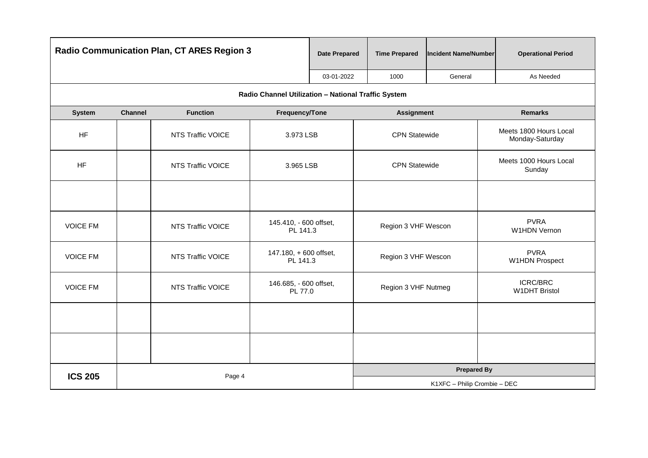|                 |                | <b>Radio Communication Plan, CT ARES Region 3</b> |                                                     | <b>Date Prepared</b> | <b>Time Prepared</b> | <b>Incident Name/Number</b>  | <b>Operational Period</b>                 |
|-----------------|----------------|---------------------------------------------------|-----------------------------------------------------|----------------------|----------------------|------------------------------|-------------------------------------------|
|                 |                |                                                   |                                                     | 03-01-2022           | 1000                 | General                      | As Needed                                 |
|                 |                |                                                   | Radio Channel Utilization - National Traffic System |                      |                      |                              |                                           |
| <b>System</b>   | <b>Channel</b> | <b>Function</b>                                   | Frequency/Tone                                      |                      | <b>Assignment</b>    |                              | <b>Remarks</b>                            |
| <b>HF</b>       |                | NTS Traffic VOICE                                 | 3.973 LSB                                           |                      | <b>CPN Statewide</b> |                              | Meets 1800 Hours Local<br>Monday-Saturday |
| <b>HF</b>       |                | NTS Traffic VOICE                                 | 3.965 LSB                                           |                      | <b>CPN Statewide</b> |                              | Meets 1000 Hours Local<br>Sunday          |
|                 |                |                                                   |                                                     |                      |                      |                              |                                           |
| <b>VOICE FM</b> |                | NTS Traffic VOICE                                 | 145.410, - 600 offset,<br>PL 141.3                  |                      | Region 3 VHF Wescon  |                              | <b>PVRA</b><br>W1HDN Vernon               |
| <b>VOICE FM</b> |                | NTS Traffic VOICE                                 | 147.180, + 600 offset,<br>PL 141.3                  |                      | Region 3 VHF Wescon  |                              | <b>PVRA</b><br><b>W1HDN Prospect</b>      |
| <b>VOICE FM</b> |                | NTS Traffic VOICE                                 | 146.685, - 600 offset,<br>PL 77.0                   |                      | Region 3 VHF Nutmeg  |                              | <b>ICRC/BRC</b><br><b>W1DHT Bristol</b>   |
|                 |                |                                                   |                                                     |                      |                      |                              |                                           |
|                 |                |                                                   |                                                     |                      |                      |                              |                                           |
| <b>ICS 205</b>  |                | Page 4                                            |                                                     |                      |                      | <b>Prepared By</b>           |                                           |
|                 |                |                                                   |                                                     |                      |                      | K1XFC - Philip Crombie - DEC |                                           |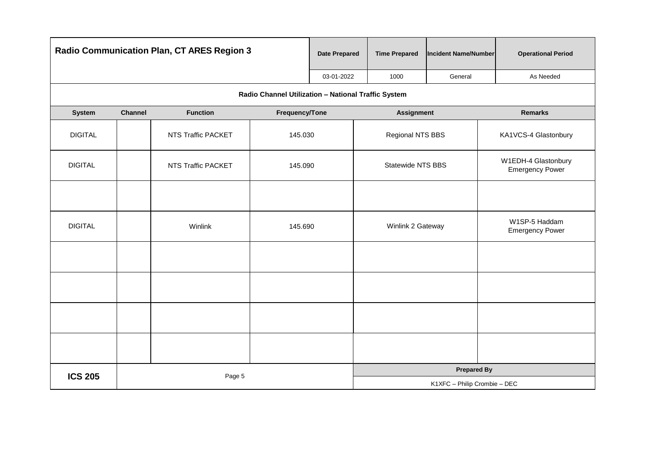|                |                | <b>Radio Communication Plan, CT ARES Region 3</b> |                                                     | <b>Date Prepared</b> | <b>Time Prepared</b>     | <b>Incident Name/Number</b>  | <b>Operational Period</b>                     |
|----------------|----------------|---------------------------------------------------|-----------------------------------------------------|----------------------|--------------------------|------------------------------|-----------------------------------------------|
|                |                |                                                   |                                                     | 03-01-2022           | 1000                     | General                      | As Needed                                     |
|                |                |                                                   | Radio Channel Utilization - National Traffic System |                      |                          |                              |                                               |
| <b>System</b>  | <b>Channel</b> | <b>Function</b>                                   | Frequency/Tone                                      |                      | <b>Assignment</b>        |                              | <b>Remarks</b>                                |
| <b>DIGITAL</b> |                | NTS Traffic PACKET                                | 145.030                                             |                      | Regional NTS BBS         |                              | KA1VCS-4 Glastonbury                          |
| <b>DIGITAL</b> |                | NTS Traffic PACKET                                | 145.090                                             |                      | <b>Statewide NTS BBS</b> |                              | W1EDH-4 Glastonbury<br><b>Emergency Power</b> |
|                |                |                                                   |                                                     |                      |                          |                              |                                               |
| <b>DIGITAL</b> |                | Winlink                                           | 145.690                                             |                      | Winlink 2 Gateway        |                              | W1SP-5 Haddam<br><b>Emergency Power</b>       |
|                |                |                                                   |                                                     |                      |                          |                              |                                               |
|                |                |                                                   |                                                     |                      |                          |                              |                                               |
|                |                |                                                   |                                                     |                      |                          |                              |                                               |
|                |                |                                                   |                                                     |                      |                          |                              |                                               |
| <b>ICS 205</b> |                | Page 5                                            |                                                     |                      |                          | <b>Prepared By</b>           |                                               |
|                |                |                                                   |                                                     |                      |                          | K1XFC - Philip Crombie - DEC |                                               |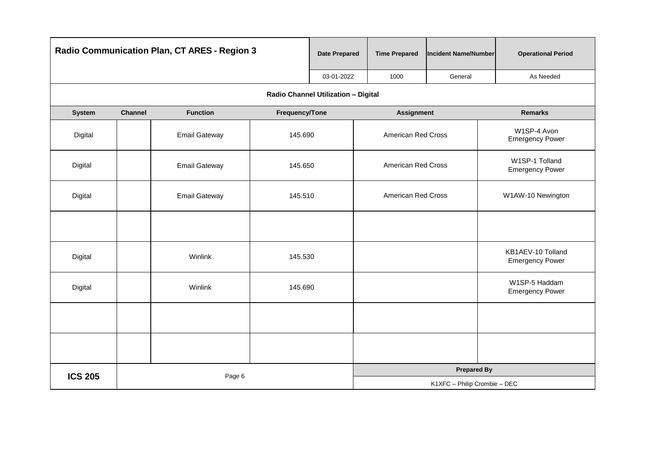|                | Radio Communication Plan, CT ARES - Region 3 |                      |                                     | <b>Date Prepared</b> | <b>Time Prepared</b>         | <b>Incident Name/Number</b> | <b>Operational Period</b>                   |  |
|----------------|----------------------------------------------|----------------------|-------------------------------------|----------------------|------------------------------|-----------------------------|---------------------------------------------|--|
|                |                                              |                      |                                     | 03-01-2022           | 1000                         | General                     | As Needed                                   |  |
|                |                                              |                      | Radio Channel Utilization - Digital |                      |                              |                             |                                             |  |
| System         | <b>Channel</b>                               | <b>Function</b>      | Frequency/Tone                      |                      | <b>Assignment</b>            |                             | <b>Remarks</b>                              |  |
| Digital        |                                              | <b>Email Gateway</b> | 145.690                             |                      | American Red Cross           |                             | W1SP-4 Avon<br><b>Emergency Power</b>       |  |
| Digital        |                                              | <b>Email Gateway</b> | 145.650                             |                      | American Red Cross           |                             | W1SP-1 Tolland<br><b>Emergency Power</b>    |  |
| Digital        |                                              | <b>Email Gateway</b> | 145.510                             |                      | American Red Cross           |                             | W1AW-10 Newington                           |  |
|                |                                              |                      |                                     |                      |                              |                             |                                             |  |
| Digital        |                                              | Winlink              | 145.530                             |                      |                              |                             | KB1AEV-10 Tolland<br><b>Emergency Power</b> |  |
| Digital        |                                              | Winlink              | 145.690                             |                      |                              |                             | W1SP-5 Haddam<br><b>Emergency Power</b>     |  |
|                |                                              |                      |                                     |                      |                              |                             |                                             |  |
|                |                                              |                      |                                     |                      |                              |                             |                                             |  |
| <b>ICS 205</b> |                                              | Page 6               |                                     |                      |                              | <b>Prepared By</b>          |                                             |  |
|                |                                              |                      |                                     |                      | K1XFC - Philip Crombie - DEC |                             |                                             |  |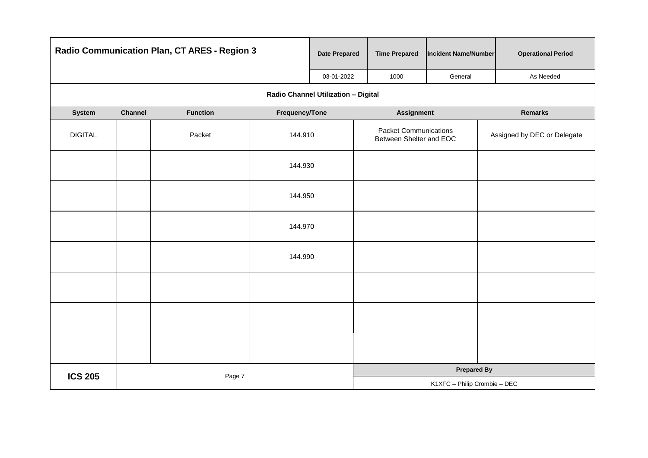|                | Radio Communication Plan, CT ARES - Region 3 |                 |                                     | <b>Date Prepared</b> | <b>Time Prepared</b>                                    | Incident Name/Number         | <b>Operational Period</b>   |  |
|----------------|----------------------------------------------|-----------------|-------------------------------------|----------------------|---------------------------------------------------------|------------------------------|-----------------------------|--|
|                |                                              |                 |                                     | 03-01-2022           | 1000                                                    | General                      | As Needed                   |  |
|                |                                              |                 | Radio Channel Utilization - Digital |                      |                                                         |                              |                             |  |
| System         | Channel                                      | <b>Function</b> | Frequency/Tone                      |                      | <b>Assignment</b>                                       |                              | <b>Remarks</b>              |  |
| <b>DIGITAL</b> |                                              | Packet          | 144.910                             |                      | <b>Packet Communications</b><br>Between Shelter and EOC |                              | Assigned by DEC or Delegate |  |
|                |                                              |                 | 144.930                             |                      |                                                         |                              |                             |  |
|                |                                              |                 | 144.950                             |                      |                                                         |                              |                             |  |
|                |                                              |                 | 144.970                             |                      |                                                         |                              |                             |  |
|                |                                              |                 | 144.990                             |                      |                                                         |                              |                             |  |
|                |                                              |                 |                                     |                      |                                                         |                              |                             |  |
|                |                                              |                 |                                     |                      |                                                         |                              |                             |  |
|                |                                              |                 |                                     |                      |                                                         |                              |                             |  |
| <b>ICS 205</b> |                                              | Page 7          |                                     |                      |                                                         | <b>Prepared By</b>           |                             |  |
|                |                                              |                 |                                     |                      |                                                         | K1XFC - Philip Crombie - DEC |                             |  |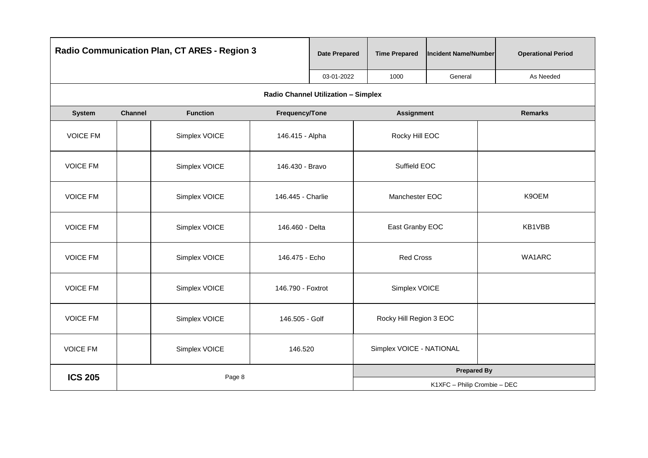| <b>Radio Communication Plan, CT ARES - Region 3</b> |         |                 | <b>Date Prepared</b>                | <b>Time Prepared</b> | <b>Incident Name/Number</b> | <b>Operational Period</b>    |                |
|-----------------------------------------------------|---------|-----------------|-------------------------------------|----------------------|-----------------------------|------------------------------|----------------|
|                                                     |         |                 |                                     | 03-01-2022           | 1000                        | General                      | As Needed      |
|                                                     |         |                 | Radio Channel Utilization - Simplex |                      |                             |                              |                |
| System                                              | Channel | <b>Function</b> | Frequency/Tone                      |                      | <b>Assignment</b>           |                              | <b>Remarks</b> |
| <b>VOICE FM</b>                                     |         | Simplex VOICE   | 146.415 - Alpha                     |                      | Rocky Hill EOC              |                              |                |
| <b>VOICE FM</b>                                     |         | Simplex VOICE   | 146.430 - Bravo                     |                      | Suffield EOC                |                              |                |
| <b>VOICE FM</b>                                     |         | Simplex VOICE   | 146.445 - Charlie                   |                      | Manchester EOC              |                              | K9OEM          |
| <b>VOICE FM</b>                                     |         | Simplex VOICE   | 146.460 - Delta                     |                      | East Granby EOC             |                              | KB1VBB         |
| <b>VOICE FM</b>                                     |         | Simplex VOICE   | 146.475 - Echo                      |                      | <b>Red Cross</b>            |                              | WA1ARC         |
| <b>VOICE FM</b>                                     |         | Simplex VOICE   | 146.790 - Foxtrot                   |                      | Simplex VOICE               |                              |                |
| <b>VOICE FM</b>                                     |         | Simplex VOICE   | 146.505 - Golf                      |                      | Rocky Hill Region 3 EOC     |                              |                |
| <b>VOICE FM</b>                                     |         | Simplex VOICE   | 146.520                             |                      | Simplex VOICE - NATIONAL    |                              |                |
| <b>ICS 205</b>                                      |         | Page 8          |                                     |                      |                             | <b>Prepared By</b>           |                |
|                                                     |         |                 |                                     |                      |                             | K1XFC - Philip Crombie - DEC |                |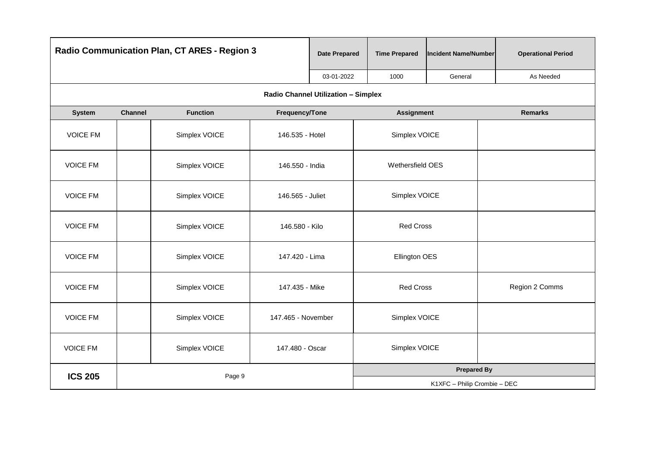|                          | <b>Radio Communication Plan, CT ARES - Region 3</b> |                 |                                     | <b>Date Prepared</b> | <b>Time Prepared</b> | <b>Incident Name/Number</b>  | <b>Operational Period</b> |
|--------------------------|-----------------------------------------------------|-----------------|-------------------------------------|----------------------|----------------------|------------------------------|---------------------------|
|                          |                                                     |                 |                                     | 03-01-2022           | 1000                 | General                      | As Needed                 |
|                          |                                                     |                 | Radio Channel Utilization - Simplex |                      |                      |                              |                           |
| <b>System</b>            | Channel                                             | <b>Function</b> | Frequency/Tone                      |                      | <b>Assignment</b>    |                              | <b>Remarks</b>            |
| <b>VOICE FM</b>          |                                                     | Simplex VOICE   | 146.535 - Hotel                     |                      | Simplex VOICE        |                              |                           |
| <b>VOICE FM</b>          |                                                     | Simplex VOICE   | 146.550 - India                     |                      | Wethersfield OES     |                              |                           |
| <b>VOICE FM</b>          |                                                     | Simplex VOICE   | 146.565 - Juliet                    |                      | Simplex VOICE        |                              |                           |
| <b>VOICE FM</b>          |                                                     | Simplex VOICE   | 146.580 - Kilo                      |                      | <b>Red Cross</b>     |                              |                           |
| <b>VOICE FM</b>          |                                                     | Simplex VOICE   | 147.420 - Lima                      |                      | Ellington OES        |                              |                           |
| <b>VOICE FM</b>          |                                                     | Simplex VOICE   | 147.435 - Mike                      |                      | <b>Red Cross</b>     |                              | Region 2 Comms            |
| <b>VOICE FM</b>          |                                                     | Simplex VOICE   | 147.465 - November                  |                      | Simplex VOICE        |                              |                           |
| <b>VOICE FM</b>          |                                                     | Simplex VOICE   | 147.480 - Oscar                     |                      | Simplex VOICE        |                              |                           |
| <b>ICS 205</b><br>Page 9 |                                                     |                 |                                     | <b>Prepared By</b>   |                      |                              |                           |
|                          |                                                     |                 |                                     |                      |                      | K1XFC - Philip Crombie - DEC |                           |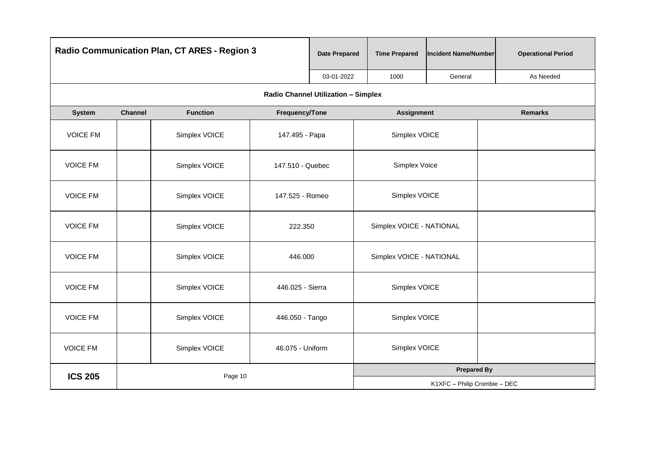|                 | <b>Radio Communication Plan, CT ARES - Region 3</b> |                 |                                            | <b>Date Prepared</b> | <b>Time Prepared</b>     | <b>Incident Name/Number</b>  | <b>Operational Period</b> |
|-----------------|-----------------------------------------------------|-----------------|--------------------------------------------|----------------------|--------------------------|------------------------------|---------------------------|
|                 |                                                     |                 |                                            | 03-01-2022           | 1000                     | General                      | As Needed                 |
|                 |                                                     |                 | <b>Radio Channel Utilization - Simplex</b> |                      |                          |                              |                           |
| <b>System</b>   | <b>Channel</b>                                      | <b>Function</b> | Frequency/Tone                             |                      | <b>Assignment</b>        |                              | <b>Remarks</b>            |
| <b>VOICE FM</b> |                                                     | Simplex VOICE   | 147.495 - Papa                             |                      | Simplex VOICE            |                              |                           |
| <b>VOICE FM</b> |                                                     | Simplex VOICE   | 147.510 - Quebec                           |                      | Simplex Voice            |                              |                           |
| <b>VOICE FM</b> |                                                     | Simplex VOICE   | 147.525 - Romeo                            |                      | Simplex VOICE            |                              |                           |
| <b>VOICE FM</b> |                                                     | Simplex VOICE   | 222.350                                    |                      | Simplex VOICE - NATIONAL |                              |                           |
| <b>VOICE FM</b> |                                                     | Simplex VOICE   | 446.000                                    |                      | Simplex VOICE - NATIONAL |                              |                           |
| <b>VOICE FM</b> |                                                     | Simplex VOICE   | 446.025 - Sierra                           |                      | Simplex VOICE            |                              |                           |
| <b>VOICE FM</b> |                                                     | Simplex VOICE   | 446.050 - Tango                            |                      | Simplex VOICE            |                              |                           |
| <b>VOICE FM</b> |                                                     | Simplex VOICE   | 46.075 - Uniform                           |                      | Simplex VOICE            |                              |                           |
| <b>ICS 205</b>  |                                                     | Page 10         |                                            |                      |                          | <b>Prepared By</b>           |                           |
|                 |                                                     |                 |                                            |                      |                          | K1XFC - Philip Crombie - DEC |                           |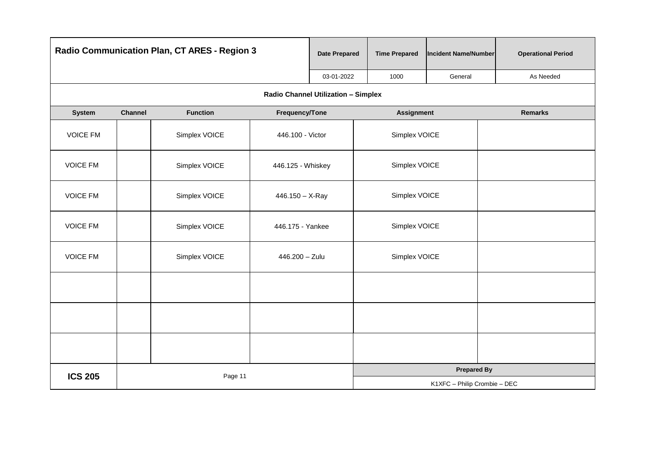|                 | Radio Communication Plan, CT ARES - Region 3 |                 |                                     | <b>Date Prepared</b> | <b>Time Prepared</b> | <b>Incident Name/Number</b>  | <b>Operational Period</b> |
|-----------------|----------------------------------------------|-----------------|-------------------------------------|----------------------|----------------------|------------------------------|---------------------------|
|                 |                                              |                 |                                     | 03-01-2022           | 1000                 | General                      | As Needed                 |
|                 |                                              |                 | Radio Channel Utilization - Simplex |                      |                      |                              |                           |
| <b>System</b>   | <b>Channel</b>                               | <b>Function</b> | Frequency/Tone                      |                      | <b>Assignment</b>    |                              | <b>Remarks</b>            |
| <b>VOICE FM</b> |                                              | Simplex VOICE   | 446.100 - Victor                    |                      | Simplex VOICE        |                              |                           |
| <b>VOICE FM</b> |                                              | Simplex VOICE   | 446.125 - Whiskey                   |                      | Simplex VOICE        |                              |                           |
| <b>VOICE FM</b> |                                              | Simplex VOICE   | $446.150 - X-Ray$                   |                      | Simplex VOICE        |                              |                           |
| <b>VOICE FM</b> |                                              | Simplex VOICE   | 446.175 - Yankee                    |                      | Simplex VOICE        |                              |                           |
| <b>VOICE FM</b> |                                              | Simplex VOICE   | 446.200 - Zulu                      |                      | Simplex VOICE        |                              |                           |
|                 |                                              |                 |                                     |                      |                      |                              |                           |
|                 |                                              |                 |                                     |                      |                      |                              |                           |
|                 |                                              |                 |                                     |                      |                      |                              |                           |
| <b>ICS 205</b>  |                                              | Page 11         |                                     |                      |                      | <b>Prepared By</b>           |                           |
|                 |                                              |                 |                                     |                      |                      | K1XFC - Philip Crombie - DEC |                           |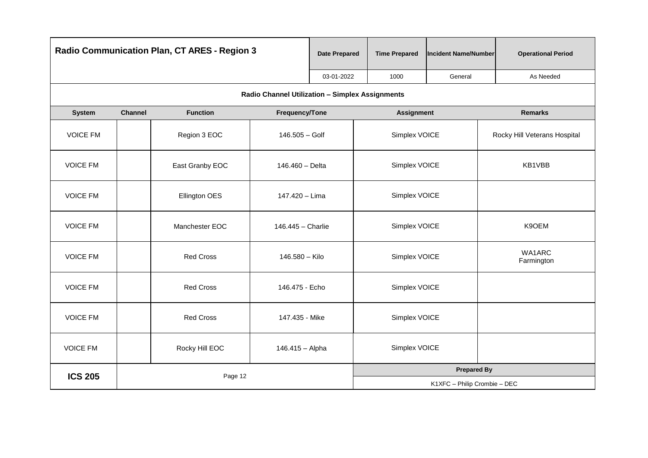| <b>Radio Communication Plan, CT ARES - Region 3</b> |                |                  | <b>Date Prepared</b>                            | <b>Time Prepared</b> | <b>Incident Name/Number</b> | <b>Operational Period</b>    |                              |  |
|-----------------------------------------------------|----------------|------------------|-------------------------------------------------|----------------------|-----------------------------|------------------------------|------------------------------|--|
|                                                     |                |                  |                                                 | 03-01-2022           | 1000                        | General                      | As Needed                    |  |
|                                                     |                |                  | Radio Channel Utilization - Simplex Assignments |                      |                             |                              |                              |  |
| <b>System</b>                                       | <b>Channel</b> | <b>Function</b>  | Frequency/Tone                                  |                      | <b>Assignment</b>           |                              | <b>Remarks</b>               |  |
| <b>VOICE FM</b>                                     |                | Region 3 EOC     | 146.505 - Golf                                  |                      | Simplex VOICE               |                              | Rocky Hill Veterans Hospital |  |
| <b>VOICE FM</b>                                     |                | East Granby EOC  | 146.460 - Delta                                 |                      | Simplex VOICE               |                              | KB1VBB                       |  |
| <b>VOICE FM</b>                                     |                | Ellington OES    | 147.420 - Lima                                  |                      | Simplex VOICE               |                              |                              |  |
| <b>VOICE FM</b>                                     |                | Manchester EOC   | 146.445 - Charlie                               |                      | Simplex VOICE               |                              | K9OEM                        |  |
| <b>VOICE FM</b>                                     |                | <b>Red Cross</b> | 146.580 - Kilo                                  |                      | Simplex VOICE               |                              | WA1ARC<br>Farmington         |  |
| <b>VOICE FM</b>                                     |                | <b>Red Cross</b> | 146.475 - Echo                                  |                      | Simplex VOICE               |                              |                              |  |
| <b>VOICE FM</b>                                     |                | <b>Red Cross</b> | 147.435 - Mike                                  |                      | Simplex VOICE               |                              |                              |  |
| <b>VOICE FM</b>                                     |                | Rocky Hill EOC   | 146.415 - Alpha                                 |                      | Simplex VOICE               |                              |                              |  |
| <b>ICS 205</b>                                      |                | Page 12          |                                                 |                      |                             | <b>Prepared By</b>           |                              |  |
|                                                     |                |                  |                                                 |                      |                             | K1XFC - Philip Crombie - DEC |                              |  |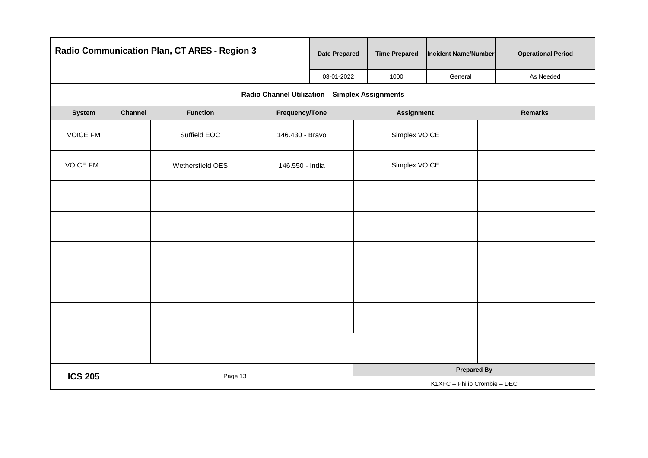|                           |         | Radio Communication Plan, CT ARES - Region 3 |                                                 | <b>Date Prepared</b> | <b>Time Prepared</b>         | <b>Incident Name/Number</b> | <b>Operational Period</b> |  |  |
|---------------------------|---------|----------------------------------------------|-------------------------------------------------|----------------------|------------------------------|-----------------------------|---------------------------|--|--|
|                           |         |                                              |                                                 | 03-01-2022           | 1000                         | General                     | As Needed                 |  |  |
|                           |         |                                              | Radio Channel Utilization - Simplex Assignments |                      |                              |                             |                           |  |  |
| System                    | Channel | <b>Function</b>                              | Frequency/Tone                                  |                      | <b>Assignment</b>            |                             | <b>Remarks</b>            |  |  |
| <b>VOICE FM</b>           |         | Suffield EOC                                 | 146.430 - Bravo                                 |                      | Simplex VOICE                |                             |                           |  |  |
| <b>VOICE FM</b>           |         | Wethersfield OES                             | 146.550 - India                                 |                      | Simplex VOICE                |                             |                           |  |  |
|                           |         |                                              |                                                 |                      |                              |                             |                           |  |  |
|                           |         |                                              |                                                 |                      |                              |                             |                           |  |  |
|                           |         |                                              |                                                 |                      |                              |                             |                           |  |  |
|                           |         |                                              |                                                 |                      |                              |                             |                           |  |  |
|                           |         |                                              |                                                 |                      |                              |                             |                           |  |  |
|                           |         |                                              |                                                 |                      |                              |                             |                           |  |  |
| <b>ICS 205</b><br>Page 13 |         |                                              |                                                 |                      |                              | <b>Prepared By</b>          |                           |  |  |
|                           |         |                                              |                                                 |                      | K1XFC - Philip Crombie - DEC |                             |                           |  |  |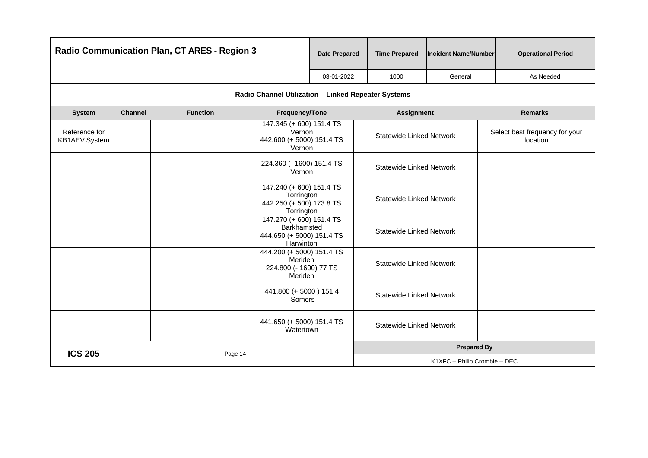| Radio Communication Plan, CT ARES - Region 3 |                |                 | <b>Date Prepared</b>                                                             | <b>Time Prepared</b> | <b>Incident Name/Number</b>     | <b>Operational Period</b> |                                            |  |
|----------------------------------------------|----------------|-----------------|----------------------------------------------------------------------------------|----------------------|---------------------------------|---------------------------|--------------------------------------------|--|
|                                              |                |                 |                                                                                  | 03-01-2022           | 1000                            | General                   | As Needed                                  |  |
|                                              |                |                 | Radio Channel Utilization - Linked Repeater Systems                              |                      |                                 |                           |                                            |  |
| <b>System</b>                                | <b>Channel</b> | <b>Function</b> | Frequency/Tone                                                                   |                      | <b>Assignment</b>               |                           | <b>Remarks</b>                             |  |
| Reference for<br><b>KB1AEV</b> System        |                |                 | 147.345 (+600) 151.4 TS<br>Vernon<br>442.600 (+ 5000) 151.4 TS<br>Vernon         |                      | <b>Statewide Linked Network</b> |                           | Select best frequency for your<br>location |  |
|                                              |                |                 | 224.360 (- 1600) 151.4 TS<br>Vernon                                              |                      | <b>Statewide Linked Network</b> |                           |                                            |  |
|                                              |                |                 | 147.240 (+600) 151.4 TS<br>Torrington<br>442.250 (+ 500) 173.8 TS<br>Torrington  |                      | <b>Statewide Linked Network</b> |                           |                                            |  |
|                                              |                |                 | 147.270 (+600) 151.4 TS<br>Barkhamsted<br>444.650 (+ 5000) 151.4 TS<br>Harwinton |                      | <b>Statewide Linked Network</b> |                           |                                            |  |
|                                              |                |                 | 444.200 (+ 5000) 151.4 TS<br>Meriden<br>224.800 (- 1600) 77 TS<br>Meriden        |                      | <b>Statewide Linked Network</b> |                           |                                            |  |
|                                              |                |                 | 441.800 (+ 5000) 151.4<br>Somers                                                 |                      | <b>Statewide Linked Network</b> |                           |                                            |  |
|                                              |                |                 | 441.650 (+ 5000) 151.4 TS<br>Watertown                                           |                      | <b>Statewide Linked Network</b> |                           |                                            |  |
| <b>ICS 205</b>                               | Page 14        |                 |                                                                                  |                      |                                 | <b>Prepared By</b>        |                                            |  |
|                                              |                |                 |                                                                                  |                      | K1XFC - Philip Crombie - DEC    |                           |                                            |  |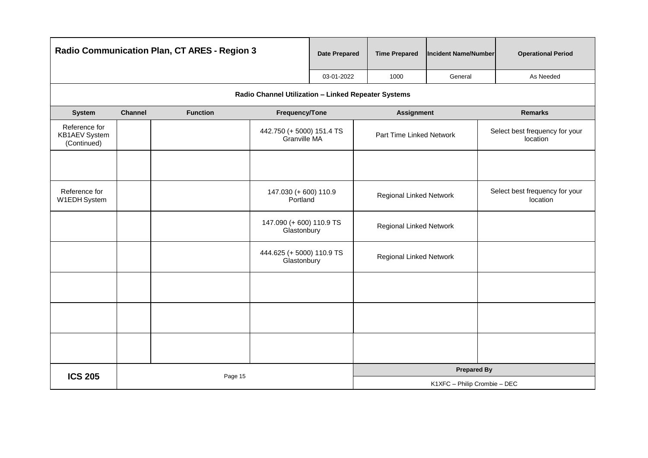| Radio Communication Plan, CT ARES - Region 3  |         |                 |                                                     | <b>Date Prepared</b> | <b>Time Prepared</b>         | <b>Incident Name/Number</b> | <b>Operational Period</b>                  |  |
|-----------------------------------------------|---------|-----------------|-----------------------------------------------------|----------------------|------------------------------|-----------------------------|--------------------------------------------|--|
|                                               |         |                 |                                                     | 03-01-2022           | 1000                         | General                     | As Needed                                  |  |
|                                               |         |                 | Radio Channel Utilization - Linked Repeater Systems |                      |                              |                             |                                            |  |
| <b>System</b>                                 | Channel | <b>Function</b> | Frequency/Tone                                      |                      | <b>Assignment</b>            |                             | <b>Remarks</b>                             |  |
| Reference for<br>KB1AEV System<br>(Continued) |         |                 | 442.750 (+ 5000) 151.4 TS<br>Granville MA           |                      | Part Time Linked Network     |                             | Select best frequency for your<br>location |  |
|                                               |         |                 |                                                     |                      |                              |                             |                                            |  |
| Reference for<br>W1EDH System                 |         |                 | 147.030 (+600) 110.9<br>Portland                    |                      | Regional Linked Network      |                             | Select best frequency for your<br>location |  |
|                                               |         |                 | 147.090 (+600) 110.9 TS<br>Glastonbury              |                      | Regional Linked Network      |                             |                                            |  |
|                                               |         |                 | 444.625 (+ 5000) 110.9 TS<br>Glastonbury            |                      | Regional Linked Network      |                             |                                            |  |
|                                               |         |                 |                                                     |                      |                              |                             |                                            |  |
|                                               |         |                 |                                                     |                      |                              |                             |                                            |  |
|                                               |         |                 |                                                     |                      |                              |                             |                                            |  |
| <b>ICS 205</b>                                | Page 15 |                 |                                                     |                      | <b>Prepared By</b>           |                             |                                            |  |
|                                               |         |                 |                                                     |                      | K1XFC - Philip Crombie - DEC |                             |                                            |  |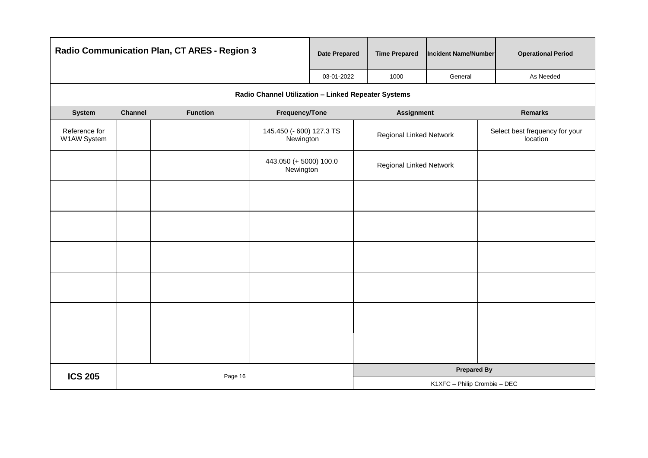|                              |         | Radio Communication Plan, CT ARES - Region 3 |                                                     | <b>Date Prepared</b>         | <b>Time Prepared</b>    | Incident Name/Number | <b>Operational Period</b>                  |  |
|------------------------------|---------|----------------------------------------------|-----------------------------------------------------|------------------------------|-------------------------|----------------------|--------------------------------------------|--|
|                              |         |                                              |                                                     | 03-01-2022                   | 1000                    | General              | As Needed                                  |  |
|                              |         |                                              | Radio Channel Utilization - Linked Repeater Systems |                              |                         |                      |                                            |  |
| System                       | Channel | <b>Function</b>                              | Frequency/Tone                                      |                              | <b>Assignment</b>       |                      | <b>Remarks</b>                             |  |
| Reference for<br>W1AW System |         |                                              | 145.450 (- 600) 127.3 TS<br>Newington               |                              | Regional Linked Network |                      | Select best frequency for your<br>location |  |
|                              |         |                                              | 443.050 (+ 5000) 100.0<br>Newington                 |                              | Regional Linked Network |                      |                                            |  |
|                              |         |                                              |                                                     |                              |                         |                      |                                            |  |
|                              |         |                                              |                                                     |                              |                         |                      |                                            |  |
|                              |         |                                              |                                                     |                              |                         |                      |                                            |  |
|                              |         |                                              |                                                     |                              |                         |                      |                                            |  |
|                              |         |                                              |                                                     |                              |                         |                      |                                            |  |
|                              |         |                                              |                                                     |                              |                         |                      |                                            |  |
| <b>ICS 205</b>               | Page 16 |                                              |                                                     |                              |                         | <b>Prepared By</b>   |                                            |  |
|                              |         |                                              |                                                     | K1XFC - Philip Crombie - DEC |                         |                      |                                            |  |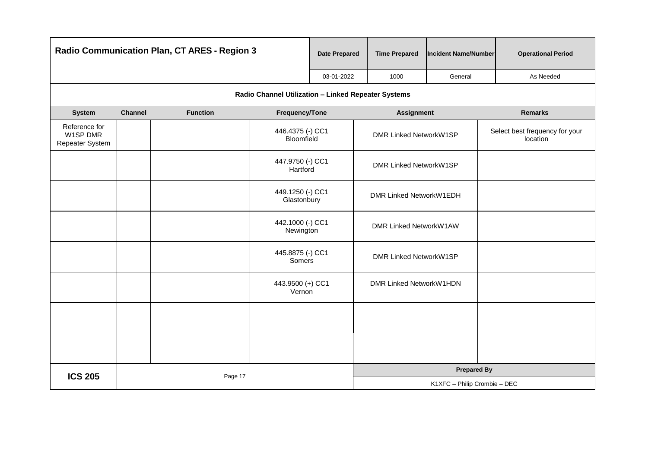| Radio Communication Plan, CT ARES - Region 3 |                            |                 | <b>Date Prepared</b>                                | <b>Time Prepared</b>         | <b>Incident Name/Number</b>   | <b>Operational Period</b> |                                            |
|----------------------------------------------|----------------------------|-----------------|-----------------------------------------------------|------------------------------|-------------------------------|---------------------------|--------------------------------------------|
|                                              |                            |                 |                                                     | 03-01-2022                   | 1000                          | General                   | As Needed                                  |
|                                              |                            |                 | Radio Channel Utilization - Linked Repeater Systems |                              |                               |                           |                                            |
| System                                       | <b>Channel</b>             | <b>Function</b> | Frequency/Tone                                      |                              | <b>Assignment</b>             |                           | <b>Remarks</b>                             |
| Reference for<br>W1SP DMR<br>Repeater System |                            |                 | 446.4375 (-) CC1<br>Bloomfield                      |                              | <b>DMR Linked NetworkW1SP</b> |                           | Select best frequency for your<br>location |
|                                              |                            |                 | 447.9750 (-) CC1<br>Hartford                        |                              | DMR Linked NetworkW1SP        |                           |                                            |
|                                              |                            |                 | 449.1250 (-) CC1<br>Glastonbury                     |                              | DMR Linked NetworkW1EDH       |                           |                                            |
|                                              |                            |                 | 442.1000 (-) CC1<br>Newington                       |                              | DMR Linked NetworkW1AW        |                           |                                            |
|                                              |                            |                 | 445.8875 (-) CC1<br>Somers                          |                              | DMR Linked NetworkW1SP        |                           |                                            |
|                                              | 443.9500 (+) CC1<br>Vernon |                 |                                                     | DMR Linked NetworkW1HDN      |                               |                           |                                            |
|                                              |                            |                 |                                                     |                              |                               |                           |                                            |
|                                              |                            |                 |                                                     |                              |                               |                           |                                            |
| <b>ICS 205</b><br>Page 17                    |                            |                 |                                                     |                              | <b>Prepared By</b>            |                           |                                            |
|                                              |                            |                 |                                                     | K1XFC - Philip Crombie - DEC |                               |                           |                                            |